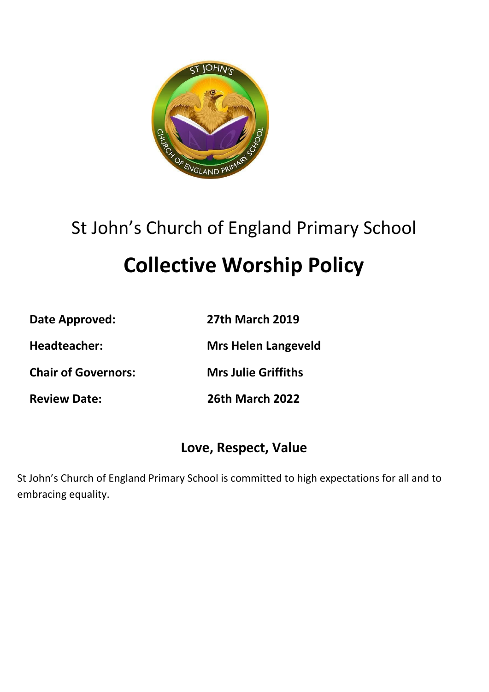

# St John's Church of England Primary School

# **Collective Worship Policy**

**Date Approved: 27th March 2019**

**Headteacher: Mrs Helen Langeveld**

**Chair of Governors: Mrs Julie Griffiths**

**Review Date: 26th March 2022**

# **Love, Respect, Value**

St John's Church of England Primary School is committed to high expectations for all and to embracing equality.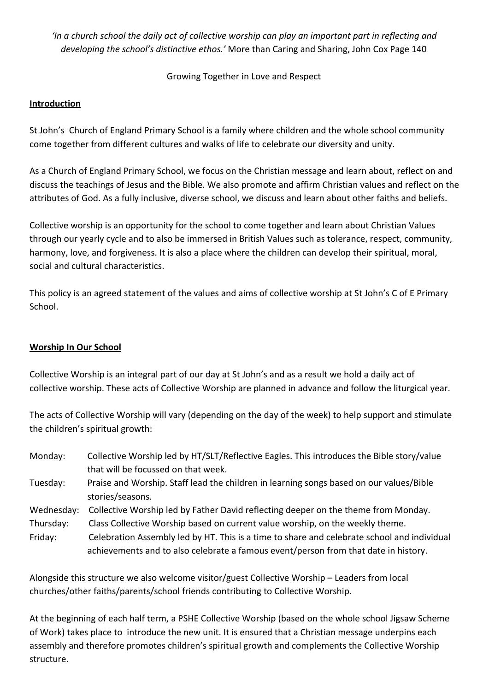*'In a church school the daily act of collective worship can play an important part in reflecting and developing the school's distinctive ethos.'* More than Caring and Sharing, John Cox Page 140

Growing Together in Love and Respect

### **Introduction**

St John's Church of England Primary School is a family where children and the whole school community come together from different cultures and walks of life to celebrate our diversity and unity.

As a Church of England Primary School, we focus on the Christian message and learn about, reflect on and discuss the teachings of Jesus and the Bible. We also promote and affirm Christian values and reflect on the attributes of God. As a fully inclusive, diverse school, we discuss and learn about other faiths and beliefs.

Collective worship is an opportunity for the school to come together and learn about Christian Values through our yearly cycle and to also be immersed in British Values such as tolerance, respect, community, harmony, love, and forgiveness. It is also a place where the children can develop their spiritual, moral, social and cultural characteristics.

This policy is an agreed statement of the values and aims of collective worship at St John's C of E Primary School.

#### **Worship In Our School**

Collective Worship is an integral part of our day at St John's and as a result we hold a daily act of collective worship. These acts of Collective Worship are planned in advance and follow the liturgical year.

The acts of Collective Worship will vary (depending on the day of the week) to help support and stimulate the children's spiritual growth:

- Monday: Collective Worship led by HT/SLT/Reflective Eagles. This introduces the Bible story/value that will be focussed on that week.
- Tuesday: Praise and Worship. Staff lead the children in learning songs based on our values/Bible stories/seasons.
- Wednesday: Collective Worship led by Father David reflecting deeper on the theme from Monday.
- Thursday: Class Collective Worship based on current value worship, on the weekly theme.
- Friday: Celebration Assembly led by HT. This is a time to share and celebrate school and individual achievements and to also celebrate a famous event/person from that date in history.

Alongside this structure we also welcome visitor/guest Collective Worship – Leaders from local churches/other faiths/parents/school friends contributing to Collective Worship.

At the beginning of each half term, a PSHE Collective Worship (based on the whole school Jigsaw Scheme of Work) takes place to introduce the new unit. It is ensured that a Christian message underpins each assembly and therefore promotes children's spiritual growth and complements the Collective Worship structure.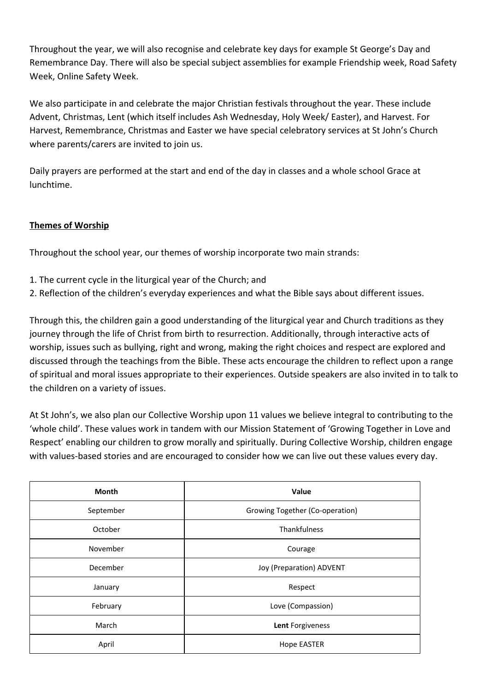Throughout the year, we will also recognise and celebrate key days for example St George's Day and Remembrance Day. There will also be special subject assemblies for example Friendship week, Road Safety Week, Online Safety Week.

We also participate in and celebrate the major Christian festivals throughout the year. These include Advent, Christmas, Lent (which itself includes Ash Wednesday, Holy Week/ Easter), and Harvest. For Harvest, Remembrance, Christmas and Easter we have special celebratory services at St John's Church where parents/carers are invited to join us.

Daily prayers are performed at the start and end of the day in classes and a whole school Grace at lunchtime.

### **Themes of Worship**

Throughout the school year, our themes of worship incorporate two main strands:

- 1. The current cycle in the liturgical year of the Church; and
- 2. Reflection of the children's everyday experiences and what the Bible says about different issues.

Through this, the children gain a good understanding of the liturgical year and Church traditions as they journey through the life of Christ from birth to resurrection. Additionally, through interactive acts of worship, issues such as bullying, right and wrong, making the right choices and respect are explored and discussed through the teachings from the Bible. These acts encourage the children to reflect upon a range of spiritual and moral issues appropriate to their experiences. Outside speakers are also invited in to talk to the children on a variety of issues.

At St John's, we also plan our Collective Worship upon 11 values we believe integral to contributing to the 'whole child'. These values work in tandem with our Mission Statement of 'Growing Together in Love and Respect' enabling our children to grow morally and spiritually. During Collective Worship, children engage with values-based stories and are encouraged to consider how we can live out these values every day.

| Month     | Value                           |
|-----------|---------------------------------|
| September | Growing Together (Co-operation) |
| October   | Thankfulness                    |
| November  | Courage                         |
| December  | Joy (Preparation) ADVENT        |
| January   | Respect                         |
| February  | Love (Compassion)               |
| March     | Lent Forgiveness                |
| April     | <b>Hope EASTER</b>              |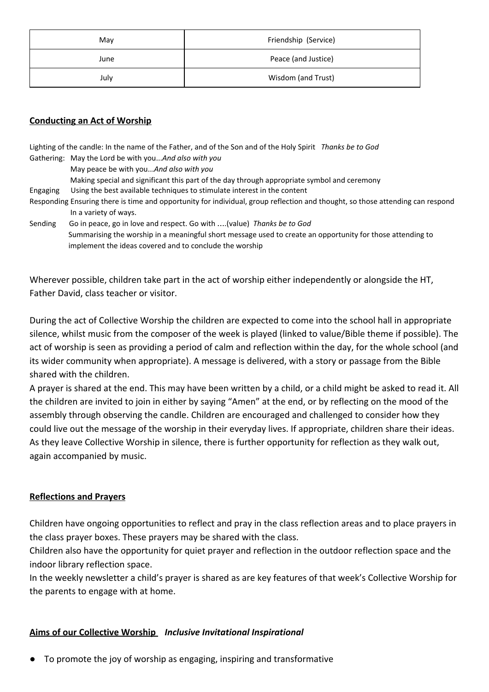| May  | Friendship (Service) |
|------|----------------------|
| June | Peace (and Justice)  |
| July | Wisdom (and Trust)   |

#### **Conducting an Act of Worship**

Lighting of the candle: In the name of the Father, and of the Son and of the Holy Spirit *Thanks be to God* Gathering: May the Lord be with you...*And also with you* May peace be with you...*And also with you* Making special and significant this part of the day through appropriate symbol and ceremony Engaging Using the best available techniques to stimulate interest in the content Responding Ensuring there is time and opportunity for individual, group reflection and thought, so those attending can respond In a variety of ways.

Sending Go in peace, go in love and respect. Go with ….(value) *Thanks be to God* Summarising the worship in a meaningful short message used to create an opportunity for those attending to implement the ideas covered and to conclude the worship

Wherever possible, children take part in the act of worship either independently or alongside the HT, Father David, class teacher or visitor.

During the act of Collective Worship the children are expected to come into the school hall in appropriate silence, whilst music from the composer of the week is played (linked to value/Bible theme if possible). The act of worship is seen as providing a period of calm and reflection within the day, for the whole school (and its wider community when appropriate). A message is delivered, with a story or passage from the Bible shared with the children.

A prayer is shared at the end. This may have been written by a child, or a child might be asked to read it. All the children are invited to join in either by saying "Amen" at the end, or by reflecting on the mood of the assembly through observing the candle. Children are encouraged and challenged to consider how they could live out the message of the worship in their everyday lives. If appropriate, children share their ideas. As they leave Collective Worship in silence, there is further opportunity for reflection as they walk out, again accompanied by music.

#### **Reflections and Prayers**

Children have ongoing opportunities to reflect and pray in the class reflection areas and to place prayers in the class prayer boxes. These prayers may be shared with the class.

Children also have the opportunity for quiet prayer and reflection in the outdoor reflection space and the indoor library reflection space.

In the weekly newsletter a child's prayer is shared as are key features of that week's Collective Worship for the parents to engage with at home.

#### **Aims of our Collective Worship** *Inclusive Invitational Inspirational*

To promote the joy of worship as engaging, inspiring and transformative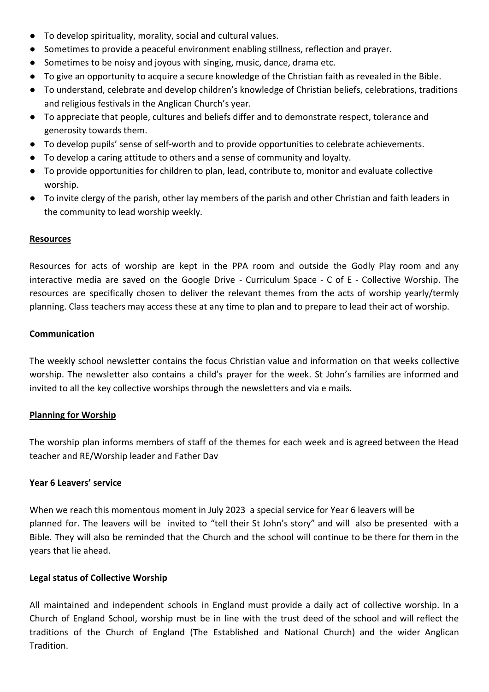- To develop spirituality, morality, social and cultural values.
- Sometimes to provide a peaceful environment enabling stillness, reflection and prayer.
- Sometimes to be noisy and joyous with singing, music, dance, drama etc.
- To give an opportunity to acquire a secure knowledge of the Christian faith as revealed in the Bible.
- To understand, celebrate and develop children's knowledge of Christian beliefs, celebrations, traditions and religious festivals in the Anglican Church's year.
- To appreciate that people, cultures and beliefs differ and to demonstrate respect, tolerance and generosity towards them.
- To develop pupils' sense of self-worth and to provide opportunities to celebrate achievements.
- To develop a caring attitude to others and a sense of community and loyalty.
- To provide opportunities for children to plan, lead, contribute to, monitor and evaluate collective worship.
- To invite clergy of the parish, other lay members of the parish and other Christian and faith leaders in the community to lead worship weekly.

#### **Resources**

Resources for acts of worship are kept in the PPA room and outside the Godly Play room and any interactive media are saved on the Google Drive - Curriculum Space - C of E - Collective Worship. The resources are specifically chosen to deliver the relevant themes from the acts of worship yearly/termly planning. Class teachers may access these at any time to plan and to prepare to lead their act of worship.

#### **Communication**

The weekly school newsletter contains the focus Christian value and information on that weeks collective worship. The newsletter also contains a child's prayer for the week. St John's families are informed and invited to all the key collective worships through the newsletters and via e mails.

#### **Planning for Worship**

The worship plan informs members of staff of the themes for each week and is agreed between the Head teacher and RE/Worship leader and Father Dav

#### **Year 6 Leavers' service**

When we reach this momentous moment in July 2023 a special service for Year 6 leavers will be planned for. The leavers will be invited to "tell their St John's story" and will also be presented with a Bible. They will also be reminded that the Church and the school will continue to be there for them in the years that lie ahead.

#### **Legal status of Collective Worship**

All maintained and independent schools in England must provide a daily act of collective worship. In a Church of England School, worship must be in line with the trust deed of the school and will reflect the traditions of the Church of England (The Established and National Church) and the wider Anglican Tradition.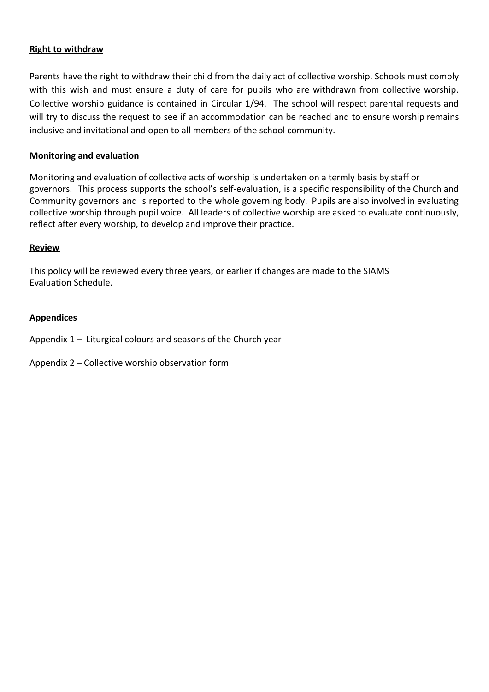#### **Right to withdraw**

Parents have the right to withdraw their child from the daily act of collective worship. Schools must comply with this wish and must ensure a duty of care for pupils who are withdrawn from collective worship. Collective worship guidance is contained in Circular 1/94. The school will respect parental requests and will try to discuss the request to see if an accommodation can be reached and to ensure worship remains inclusive and invitational and open to all members of the school community.

#### **Monitoring and evaluation**

Monitoring and evaluation of collective acts of worship is undertaken on a termly basis by staff or governors. This process supports the school's self-evaluation, is a specific responsibility of the Church and Community governors and is reported to the whole governing body. Pupils are also involved in evaluating collective worship through pupil voice. All leaders of collective worship are asked to evaluate continuously, reflect after every worship, to develop and improve their practice.

#### **Review**

This policy will be reviewed every three years, or earlier if changes are made to the SIAMS Evaluation Schedule.

#### **Appendices**

Appendix 1 – Liturgical colours and seasons of the Church year

Appendix 2 – Collective worship observation form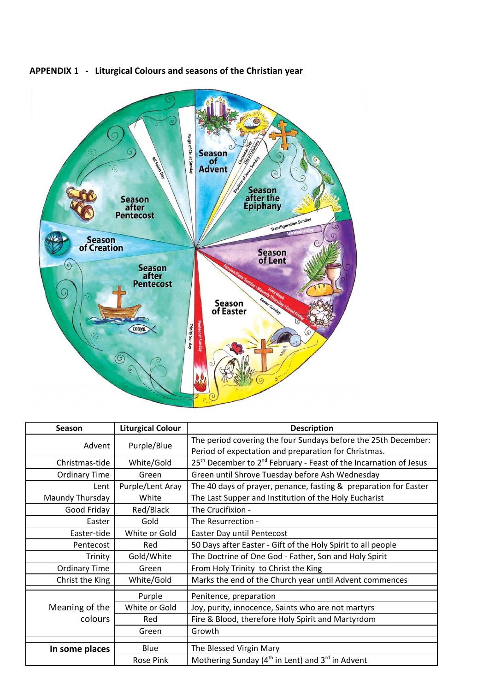

#### **APPENDIX** 1 **- Liturgical Colours and seasons of the Christian year**

| <b>Season</b>        | <b>Liturgical Colour</b> | <b>Description</b>                                                                        |
|----------------------|--------------------------|-------------------------------------------------------------------------------------------|
| Advent               | Purple/Blue              | The period covering the four Sundays before the 25th December:                            |
|                      |                          | Period of expectation and preparation for Christmas.                                      |
| Christmas-tide       | White/Gold               | 25 <sup>th</sup> December to 2 <sup>nd</sup> February - Feast of the Incarnation of Jesus |
| <b>Ordinary Time</b> | Green                    | Green until Shrove Tuesday before Ash Wednesday                                           |
| Lent                 | Purple/Lent Aray         | The 40 days of prayer, penance, fasting & preparation for Easter                          |
| Maundy Thursday      | White                    | The Last Supper and Institution of the Holy Eucharist                                     |
| Good Friday          | Red/Black                | The Crucifixion -                                                                         |
| Easter               | Gold                     | The Resurrection -                                                                        |
| Easter-tide          | White or Gold            | Easter Day until Pentecost                                                                |
| Pentecost            | Red                      | 50 Days after Easter - Gift of the Holy Spirit to all people                              |
| Trinity              | Gold/White               | The Doctrine of One God - Father, Son and Holy Spirit                                     |
| <b>Ordinary Time</b> | Green                    | From Holy Trinity to Christ the King                                                      |
| Christ the King      | White/Gold               | Marks the end of the Church year until Advent commences                                   |
|                      | Purple                   | Penitence, preparation                                                                    |
| Meaning of the       | White or Gold            | Joy, purity, innocence, Saints who are not martyrs                                        |
|                      |                          |                                                                                           |
| colours              | Red                      | Fire & Blood, therefore Holy Spirit and Martyrdom                                         |
|                      | Green                    | Growth                                                                                    |
|                      |                          |                                                                                           |
| In some places       | Blue                     | The Blessed Virgin Mary                                                                   |
|                      | Rose Pink                | Mothering Sunday ( $4th$ in Lent) and $3rd$ in Advent                                     |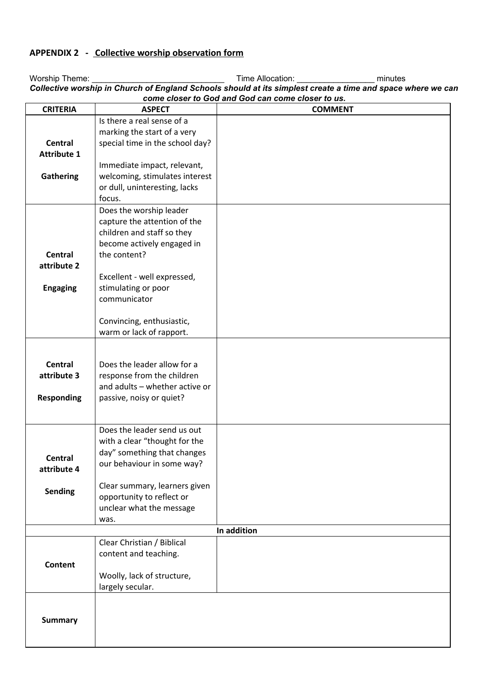# **APPENDIX 2 - Collective worship observation form**

| Collective worship in Church of England Schools should at its simplest create a time and space where we ca<br>come closer to God and God can come closer to us. |                                                            |                |  |  |  |
|-----------------------------------------------------------------------------------------------------------------------------------------------------------------|------------------------------------------------------------|----------------|--|--|--|
| <b>CRITERIA</b>                                                                                                                                                 | <b>ASPECT</b>                                              | <b>COMMENT</b> |  |  |  |
|                                                                                                                                                                 | Is there a real sense of a                                 |                |  |  |  |
|                                                                                                                                                                 | marking the start of a very                                |                |  |  |  |
| Central                                                                                                                                                         | special time in the school day?                            |                |  |  |  |
| <b>Attribute 1</b>                                                                                                                                              |                                                            |                |  |  |  |
|                                                                                                                                                                 | Immediate impact, relevant,                                |                |  |  |  |
| <b>Gathering</b>                                                                                                                                                | welcoming, stimulates interest                             |                |  |  |  |
|                                                                                                                                                                 | or dull, uninteresting, lacks                              |                |  |  |  |
|                                                                                                                                                                 | focus.                                                     |                |  |  |  |
|                                                                                                                                                                 | Does the worship leader                                    |                |  |  |  |
|                                                                                                                                                                 | capture the attention of the<br>children and staff so they |                |  |  |  |
|                                                                                                                                                                 | become actively engaged in                                 |                |  |  |  |
| <b>Central</b>                                                                                                                                                  | the content?                                               |                |  |  |  |
| attribute 2                                                                                                                                                     |                                                            |                |  |  |  |
|                                                                                                                                                                 | Excellent - well expressed,                                |                |  |  |  |
| <b>Engaging</b>                                                                                                                                                 | stimulating or poor                                        |                |  |  |  |
|                                                                                                                                                                 | communicator                                               |                |  |  |  |
|                                                                                                                                                                 |                                                            |                |  |  |  |
|                                                                                                                                                                 | Convincing, enthusiastic,                                  |                |  |  |  |
|                                                                                                                                                                 | warm or lack of rapport.                                   |                |  |  |  |
|                                                                                                                                                                 |                                                            |                |  |  |  |
| <b>Central</b>                                                                                                                                                  | Does the leader allow for a                                |                |  |  |  |
| attribute 3                                                                                                                                                     | response from the children                                 |                |  |  |  |
|                                                                                                                                                                 | and adults - whether active or                             |                |  |  |  |
| <b>Responding</b>                                                                                                                                               | passive, noisy or quiet?                                   |                |  |  |  |
|                                                                                                                                                                 |                                                            |                |  |  |  |
|                                                                                                                                                                 | Does the leader send us out                                |                |  |  |  |
|                                                                                                                                                                 | with a clear "thought for the                              |                |  |  |  |
|                                                                                                                                                                 | day" something that changes                                |                |  |  |  |
| <b>Central</b>                                                                                                                                                  | our behaviour in some way?                                 |                |  |  |  |
| attribute 4                                                                                                                                                     |                                                            |                |  |  |  |
| <b>Sending</b>                                                                                                                                                  | Clear summary, learners given                              |                |  |  |  |
|                                                                                                                                                                 | opportunity to reflect or                                  |                |  |  |  |
|                                                                                                                                                                 | unclear what the message                                   |                |  |  |  |
|                                                                                                                                                                 | was.                                                       |                |  |  |  |
|                                                                                                                                                                 | Clear Christian / Biblical                                 | In addition    |  |  |  |
|                                                                                                                                                                 | content and teaching.                                      |                |  |  |  |
| <b>Content</b>                                                                                                                                                  |                                                            |                |  |  |  |
|                                                                                                                                                                 | Woolly, lack of structure,                                 |                |  |  |  |
|                                                                                                                                                                 | largely secular.                                           |                |  |  |  |
|                                                                                                                                                                 |                                                            |                |  |  |  |
|                                                                                                                                                                 |                                                            |                |  |  |  |
| <b>Summary</b>                                                                                                                                                  |                                                            |                |  |  |  |
|                                                                                                                                                                 |                                                            |                |  |  |  |
|                                                                                                                                                                 |                                                            |                |  |  |  |

Worship Theme: \_\_\_\_\_\_\_\_\_\_\_\_\_\_\_\_\_\_\_\_\_\_\_\_\_\_\_\_\_ Time Allocation: \_\_\_\_\_\_\_\_\_\_\_\_\_\_\_\_\_ minutes Collective worship in Church of England Schools should at its simplest create a time and space where we can